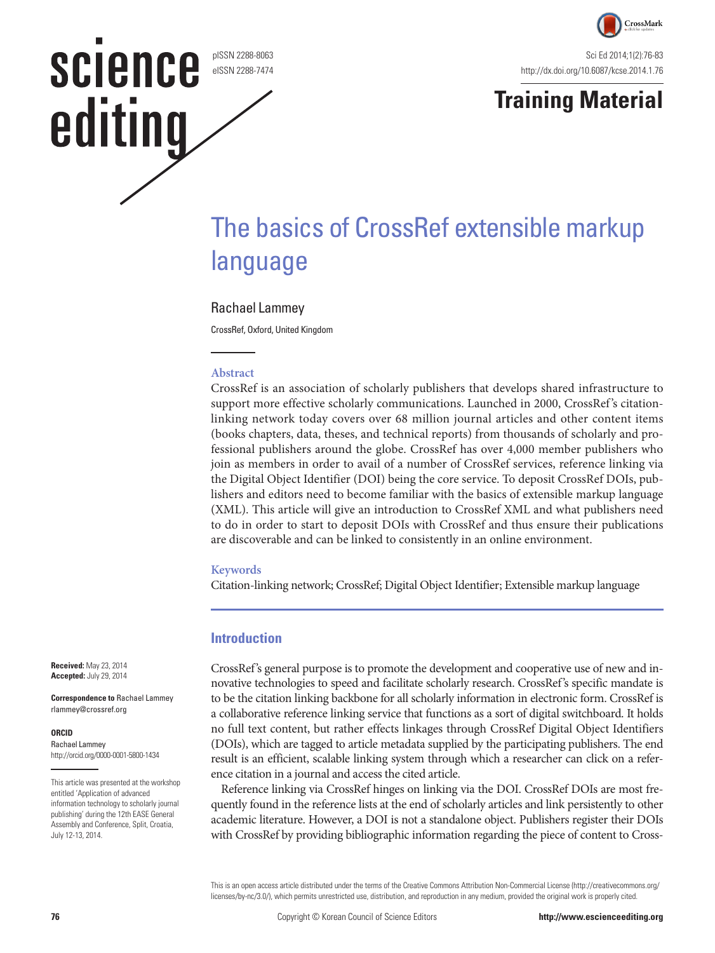pISSN 2288-8063 eISSN 2288-7474

**SCIENCE** 

editing



# **Training Material**

# The basics of CrossRef extensible markup language

#### Rachael Lammey

CrossRef, Oxford, United Kingdom

#### **Abstract**

CrossRef is an association of scholarly publishers that develops shared infrastructure to support more effective scholarly communications. Launched in 2000, CrossRef's citationlinking network today covers over 68 million journal articles and other content items (books chapters, data, theses, and technical reports) from thousands of scholarly and professional publishers around the globe. CrossRef has over 4,000 member publishers who join as members in order to avail of a number of CrossRef services, reference linking via the Digital Object Identifier (DOI) being the core service. To deposit CrossRef DOIs, publishers and editors need to become familiar with the basics of extensible markup language (XML). This article will give an introduction to CrossRef XML and what publishers need to do in order to start to deposit DOIs with CrossRef and thus ensure their publications are discoverable and can be linked to consistently in an online environment.

#### **Keywords**

Citation-linking network; CrossRef; Digital Object Identifier; Extensible markup language

#### **Introduction**

CrossRef's general purpose is to promote the development and cooperative use of new and innovative technologies to speed and facilitate scholarly research. CrossRef's specific mandate is to be the citation linking backbone for all scholarly information in electronic form. CrossRef is a collaborative reference linking service that functions as a sort of digital switchboard. It holds no full text content, but rather effects linkages through CrossRef Digital Object Identifiers (DOIs), which are tagged to article metadata supplied by the participating publishers. The end result is an efficient, scalable linking system through which a researcher can click on a reference citation in a journal and access the cited article.

Reference linking via CrossRef hinges on linking via the DOI. CrossRef DOIs are most frequently found in the reference lists at the end of scholarly articles and link persistently to other academic literature. However, a DOI is not a standalone object. Publishers register their DOIs with CrossRef by providing bibliographic information regarding the piece of content to Cross-

This is an open access article distributed under the terms of the Creative Commons Attribution Non-Commercial License (http://creativecommons.org/ licenses/by-nc/3.0/), which permits unrestricted use, distribution, and reproduction in any medium, provided the original work is properly cited.

**Received:** May 23, 2014 **Accepted:** July 29, 2014

**Correspondence to** Rachael Lammey rlammey@crossref.org

#### **ORCID**

Rachael Lammey http://orcid.org/0000-0001-5800-1434

This article was presented at the workshop entitled 'Application of advanced information technology to scholarly journal publishing' during the 12th EASE General Assembly and Conference, Split, Croatia, July 12-13, 2014.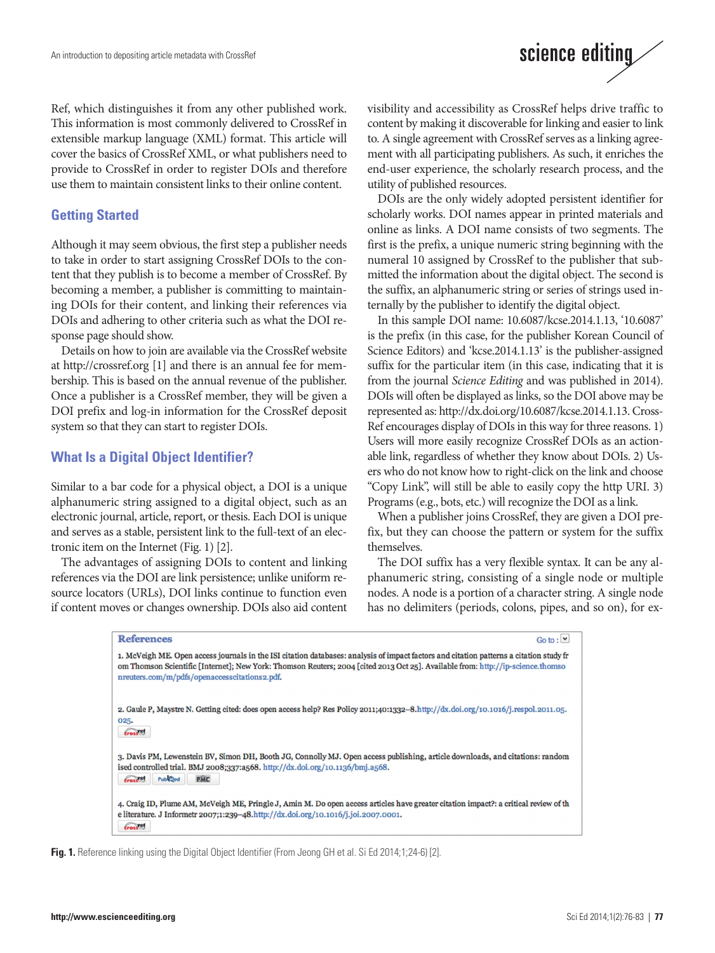Ref, which distinguishes it from any other published work. This information is most commonly delivered to CrossRef in extensible markup language (XML) format. This article will cover the basics of CrossRef XML, or what publishers need to provide to CrossRef in order to register DOIs and therefore use them to maintain consistent links to their online content.

#### **Getting Started**

Although it may seem obvious, the first step a publisher needs to take in order to start assigning CrossRef DOIs to the content that they publish is to become a member of CrossRef. By becoming a member, a publisher is committing to maintaining DOIs for their content, and linking their references via DOIs and adhering to other criteria such as what the DOI response page should show.

Details on how to join are available via the CrossRef website at http://crossref.org [1] and there is an annual fee for membership. This is based on the annual revenue of the publisher. Once a publisher is a CrossRef member, they will be given a DOI prefix and log-in information for the CrossRef deposit system so that they can start to register DOIs.

#### **What Is a Digital Object Identifier?**

Similar to a bar code for a physical object, a DOI is a unique alphanumeric string assigned to a digital object, such as an electronic journal, article, report, or thesis. Each DOI is unique and serves as a stable, persistent link to the full-text of an electronic item on the Internet (Fig. 1) [2].

The advantages of assigning DOIs to content and linking references via the DOI are link persistence; unlike uniform resource locators (URLs), DOI links continue to function even if content moves or changes ownership. DOIs also aid content visibility and accessibility as CrossRef helps drive traffic to content by making it discoverable for linking and easier to link to. A single agreement with CrossRef serves as a linking agreement with all participating publishers. As such, it enriches the end-user experience, the scholarly research process, and the utility of published resources.

DOIs are the only widely adopted persistent identifier for scholarly works. DOI names appear in printed materials and online as links. A DOI name consists of two segments. The first is the prefix, a unique numeric string beginning with the numeral 10 assigned by CrossRef to the publisher that submitted the information about the digital object. The second is the suffix, an alphanumeric string or series of strings used internally by the publisher to identify the digital object.

In this sample DOI name: 10.6087/kcse.2014.1.13, '10.6087' is the prefix (in this case, for the publisher Korean Council of Science Editors) and 'kcse.2014.1.13' is the publisher-assigned suffix for the particular item (in this case, indicating that it is from the journal *Science Editing* and was published in 2014). DOIs will often be displayed as links, so the DOI above may be represented as: http://dx.doi.org/10.6087/kcse.2014.1.13. Cross-Ref encourages display of DOIs in this way for three reasons. 1) Users will more easily recognize CrossRef DOIs as an actionable link, regardless of whether they know about DOIs. 2) Users who do not know how to right-click on the link and choose "Copy Link", will still be able to easily copy the http URI. 3) Programs (e.g., bots, etc.) will recognize the DOI as a link.

When a publisher joins CrossRef, they are given a DOI prefix, but they can choose the pattern or system for the suffix themselves.

The DOI suffix has a very flexible syntax. It can be any alphanumeric string, consisting of a single node or multiple nodes. A node is a portion of a character string. A single node has no delimiters (periods, colons, pipes, and so on), for ex-

```
References
                                                                                                                          Go to : \nightharpoonup1. McVeigh ME. Open access journals in the ISI citation databases: analysis of impact factors and citation patterns a citation study fr
om Thomson Scientific [Internet]; New York: Thomson Reuters; 2004 [cited 2013 Oct 25]. Available from: http://ip-science.thomso
nreuters.com/m/pdfs/openaccesscitations2.pdf.
2. Gaule P, Maystre N. Getting cited: does open access help? Res Policy 2011;40:1332-8.http://dx.doi.org/10.1016/j.respol.2011.05.
025.
tross®
3. Davis PM, Lewenstein BV, Simon DH, Booth JG, Connolly MJ. Open access publishing, article downloads, and citations: random
ised controlled trial. BMJ 2008;337:a568. http://dx.doi.org/10.1136/bmj.a568.
 trossed Publiced PMC
4. Craig ID, Plume AM, McVeigh ME, Pringle J, Amin M. Do open access articles have greater citation impact?: a critical review of th
e literature. J Informetr 2007;1:239-48.http://dx.doi.org/10.1016/j.joi.2007.0001.
 tross<sup>ed</sup>
```
**Fig. 1.** Reference linking using the Digital Object Identifier (From Jeong GH et al. Si Ed 2014;1;24-6) [2].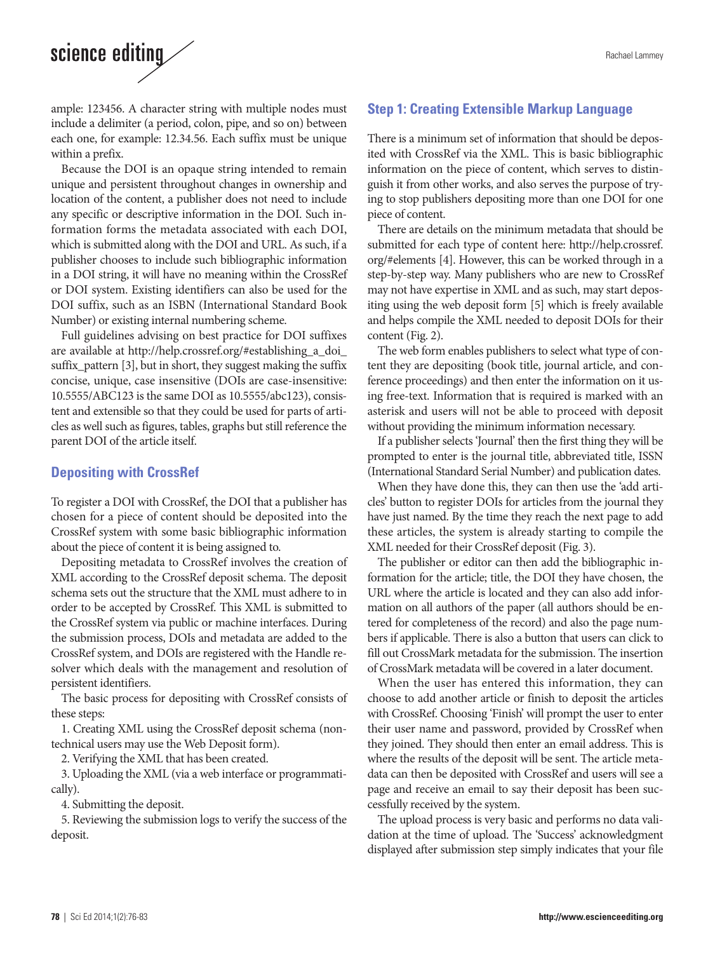## science editing

ample: 123456. A character string with multiple nodes must include a delimiter (a period, colon, pipe, and so on) between each one, for example: 12.34.56. Each suffix must be unique within a prefix.

Because the DOI is an opaque string intended to remain unique and persistent throughout changes in ownership and location of the content, a publisher does not need to include any specific or descriptive information in the DOI. Such information forms the metadata associated with each DOI, which is submitted along with the DOI and URL. As such, if a publisher chooses to include such bibliographic information in a DOI string, it will have no meaning within the CrossRef or DOI system. Existing identifiers can also be used for the DOI suffix, such as an ISBN (International Standard Book Number) or existing internal numbering scheme.

Full guidelines advising on best practice for DOI suffixes are available at http://help.crossref.org/#establishing\_a\_doi\_ suffix\_pattern [3], but in short, they suggest making the suffix concise, unique, case insensitive (DOIs are case-insensitive: 10.5555/ABC123 is the same DOI as 10.5555/abc123), consistent and extensible so that they could be used for parts of articles as well such as figures, tables, graphs but still reference the parent DOI of the article itself.

#### **Depositing with CrossRef**

To register a DOI with CrossRef, the DOI that a publisher has chosen for a piece of content should be deposited into the CrossRef system with some basic bibliographic information about the piece of content it is being assigned to.

Depositing metadata to CrossRef involves the creation of XML according to the CrossRef deposit schema. The deposit schema sets out the structure that the XML must adhere to in order to be accepted by CrossRef. This XML is submitted to the CrossRef system via public or machine interfaces. During the submission process, DOIs and metadata are added to the CrossRef system, and DOIs are registered with the Handle resolver which deals with the management and resolution of persistent identifiers.

The basic process for depositing with CrossRef consists of these steps:

1. Creating XML using the CrossRef deposit schema (nontechnical users may use the Web Deposit form).

2. Verifying the XML that has been created.

3. Uploading the XML (via a web interface or programmatically).

4. Submitting the deposit.

5. Reviewing the submission logs to verify the success of the deposit.

### **Step 1: Creating Extensible Markup Language**

There is a minimum set of information that should be deposited with CrossRef via the XML. This is basic bibliographic information on the piece of content, which serves to distinguish it from other works, and also serves the purpose of trying to stop publishers depositing more than one DOI for one piece of content.

There are details on the minimum metadata that should be submitted for each type of content here: http://help.crossref. org/#elements [4]. However, this can be worked through in a step-by-step way. Many publishers who are new to CrossRef may not have expertise in XML and as such, may start depositing using the web deposit form [5] which is freely available and helps compile the XML needed to deposit DOIs for their content (Fig. 2).

The web form enables publishers to select what type of content they are depositing (book title, journal article, and conference proceedings) and then enter the information on it using free-text. Information that is required is marked with an asterisk and users will not be able to proceed with deposit without providing the minimum information necessary.

If a publisher selects 'Journal' then the first thing they will be prompted to enter is the journal title, abbreviated title, ISSN (International Standard Serial Number) and publication dates.

When they have done this, they can then use the 'add articles' button to register DOIs for articles from the journal they have just named. By the time they reach the next page to add these articles, the system is already starting to compile the XML needed for their CrossRef deposit (Fig. 3).

The publisher or editor can then add the bibliographic information for the article; title, the DOI they have chosen, the URL where the article is located and they can also add information on all authors of the paper (all authors should be entered for completeness of the record) and also the page numbers if applicable. There is also a button that users can click to fill out CrossMark metadata for the submission. The insertion of CrossMark metadata will be covered in a later document.

When the user has entered this information, they can choose to add another article or finish to deposit the articles with CrossRef. Choosing 'Finish' will prompt the user to enter their user name and password, provided by CrossRef when they joined. They should then enter an email address. This is where the results of the deposit will be sent. The article metadata can then be deposited with CrossRef and users will see a page and receive an email to say their deposit has been successfully received by the system.

The upload process is very basic and performs no data validation at the time of upload. The 'Success' acknowledgment displayed after submission step simply indicates that your file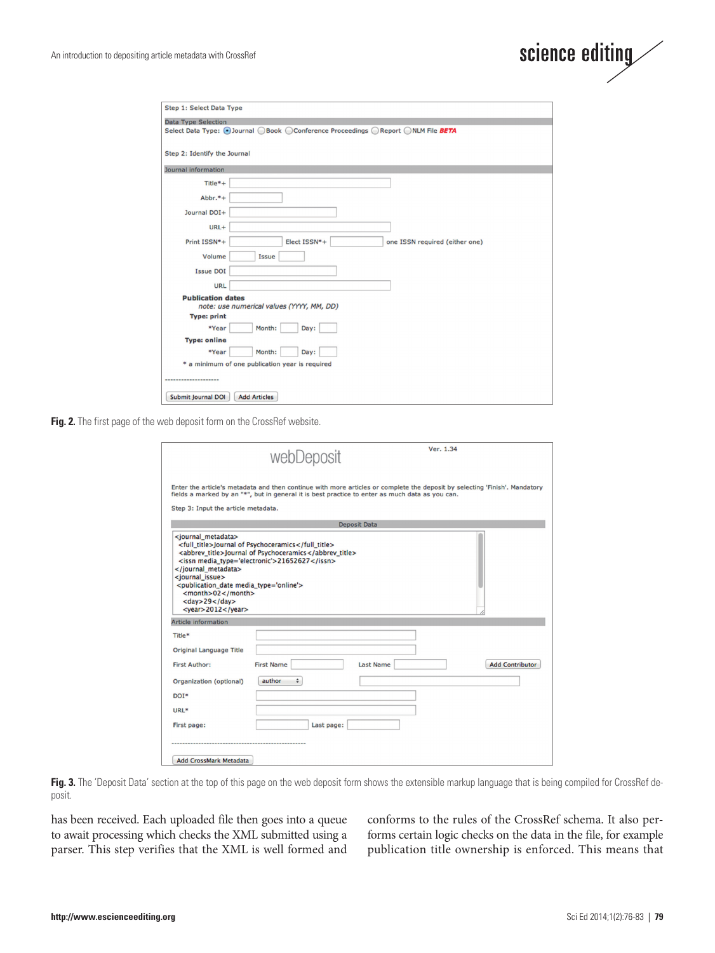

| Step 1: Select Data Type                                                        |                                |  |  |
|---------------------------------------------------------------------------------|--------------------------------|--|--|
| Data Type Selection                                                             |                                |  |  |
| Select Data Type: ⊙Journal OBook OConference Proceedings OReport ONLM File BETA |                                |  |  |
|                                                                                 |                                |  |  |
| Step 2: Identify the Journal                                                    |                                |  |  |
| Journal information                                                             |                                |  |  |
| Title*+                                                                         |                                |  |  |
| $Abbr.*+$                                                                       |                                |  |  |
| Journal DOI+                                                                    |                                |  |  |
| URL+                                                                            |                                |  |  |
| Print ISSN*+<br>Elect ISSN*+                                                    | one ISSN required (either one) |  |  |
|                                                                                 |                                |  |  |
| Volume<br>Issue                                                                 |                                |  |  |
| <b>Issue DOI</b>                                                                |                                |  |  |
| <b>URL</b>                                                                      |                                |  |  |
| <b>Publication dates</b><br>note: use numerical values (YYYY, MM, DD)           |                                |  |  |
| <b>Type: print</b>                                                              |                                |  |  |
| *Year<br>Month:<br>Day:                                                         |                                |  |  |
| <b>Type: online</b>                                                             |                                |  |  |
| *Year<br>Month:<br>Day:                                                         |                                |  |  |
| * a minimum of one publication year is required                                 |                                |  |  |
|                                                                                 |                                |  |  |
| Submit Journal DOI<br><b>Add Articles</b>                                       |                                |  |  |

**Fig. 2.** The first page of the web deposit form on the CrossRef website.

| Enter the article's metadata and then continue with more articles or complete the deposit by selecting 'Finish'. Mandatory<br>fields a marked by an "*", but in general it is best practice to enter as much data as you can.<br>Step 3: Input the article metadata.<br><b>Deposit Data</b><br><full_title>Journal of Psychoceramics</full_title><br><abbrev_title>Journal of Psychoceramics</abbrev_title><br><issn media_type="electronic">21652627</issn><br><publication date="" media="" type="online"><br/><math>&lt;</math>month&gt;02<math>&lt;</math>/month&gt;<br/><math>&lt;</math>day&gt;29<br/><year>2012</year><br/><b>Article information</b><br/>Original Language Title<br/><b>First Name</b><br/><b>Last Name</b><br/><b>Add Contributor</b><br/>author<br/>÷<br/>Last page:</publication> |                                                                          | Ver. 1.34<br>webDeposit |
|--------------------------------------------------------------------------------------------------------------------------------------------------------------------------------------------------------------------------------------------------------------------------------------------------------------------------------------------------------------------------------------------------------------------------------------------------------------------------------------------------------------------------------------------------------------------------------------------------------------------------------------------------------------------------------------------------------------------------------------------------------------------------------------------------------------|--------------------------------------------------------------------------|-------------------------|
|                                                                                                                                                                                                                                                                                                                                                                                                                                                                                                                                                                                                                                                                                                                                                                                                              |                                                                          |                         |
|                                                                                                                                                                                                                                                                                                                                                                                                                                                                                                                                                                                                                                                                                                                                                                                                              |                                                                          |                         |
|                                                                                                                                                                                                                                                                                                                                                                                                                                                                                                                                                                                                                                                                                                                                                                                                              | <iournal metadata=""><br/><br/><journal_issue></journal_issue></iournal> |                         |
|                                                                                                                                                                                                                                                                                                                                                                                                                                                                                                                                                                                                                                                                                                                                                                                                              | Title*                                                                   |                         |
|                                                                                                                                                                                                                                                                                                                                                                                                                                                                                                                                                                                                                                                                                                                                                                                                              |                                                                          |                         |
|                                                                                                                                                                                                                                                                                                                                                                                                                                                                                                                                                                                                                                                                                                                                                                                                              | <b>First Author:</b>                                                     |                         |
|                                                                                                                                                                                                                                                                                                                                                                                                                                                                                                                                                                                                                                                                                                                                                                                                              | Organization (optional)                                                  |                         |
|                                                                                                                                                                                                                                                                                                                                                                                                                                                                                                                                                                                                                                                                                                                                                                                                              | DOT*                                                                     |                         |
|                                                                                                                                                                                                                                                                                                                                                                                                                                                                                                                                                                                                                                                                                                                                                                                                              | URL*                                                                     |                         |
|                                                                                                                                                                                                                                                                                                                                                                                                                                                                                                                                                                                                                                                                                                                                                                                                              | First page:                                                              |                         |
|                                                                                                                                                                                                                                                                                                                                                                                                                                                                                                                                                                                                                                                                                                                                                                                                              | <b>Add CrossMark Metadata</b>                                            |                         |

Fig. 3. The 'Deposit Data' section at the top of this page on the web deposit form shows the extensible markup language that is being compiled for CrossRef deposit.

has been received. Each uploaded file then goes into a queue to await processing which checks the XML submitted using a parser. This step verifies that the XML is well formed and conforms to the rules of the CrossRef schema. It also performs certain logic checks on the data in the file, for example publication title ownership is enforced. This means that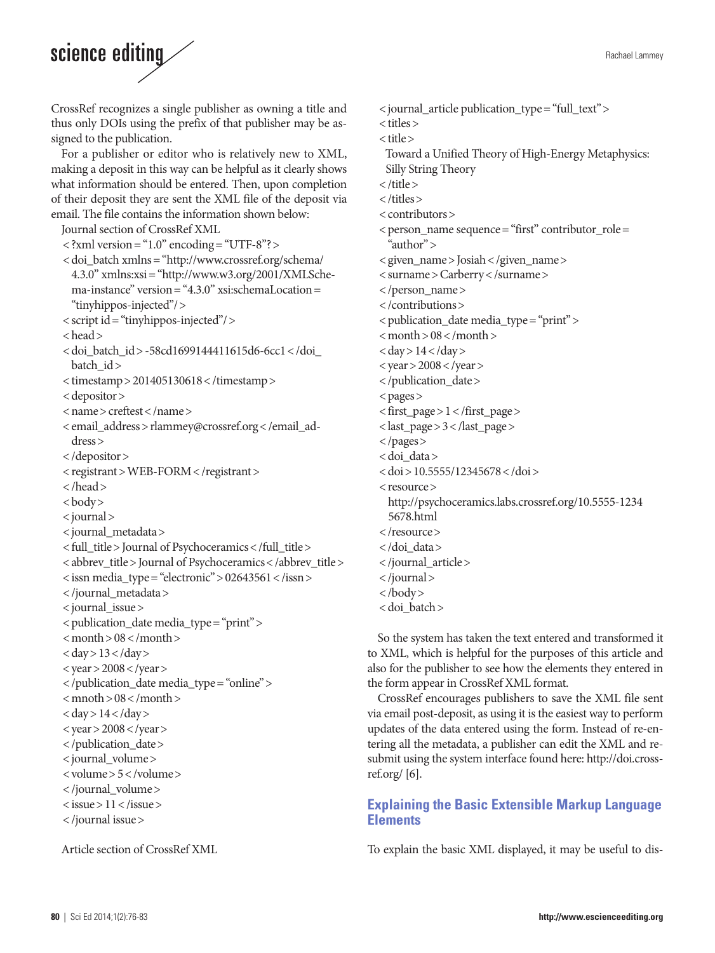# science editing

CrossRef recognizes a single publisher as owning a title and thus only DOIs using the prefix of that publisher may be assigned to the publication.

For a publisher or editor who is relatively new to XML, making a deposit in this way can be helpful as it clearly shows what information should be entered. Then, upon completion of their deposit they are sent the XML file of the deposit via email. The file contains the information shown below:

Journal section of CrossRef XML

- $\langle$  ?xml version = "1.0" encoding = "UTF-8"? > <doi\_batch xmlns="http://www.crossref.org/schema/
- 4.3.0" xmlns:xsi= "http://www.w3.org/2001/XMLSchema-instance" version= "4.3.0" xsi:schemaLocation= "tinyhippos-injected"/>
- < script id= "tinyhippos-injected"/>
- < head>
- <doi\_batch\_id> -58cd1699144411615d6-6cc1</doi\_ batch\_id>
- < timestamp> 201405130618< /timestamp>
- < depositor>
- < name> creftest< /name>
- <email\_address>rlammey@crossref.org</email\_address>
- < /depositor>
- < registrant> WEB-FORM< /registrant>
- < /head>
- < body>
- < journal>
- < journal\_metadata>
- < full\_title> Journal of Psychoceramics< /full\_title>
- < abbrev\_title> Journal of Psychoceramics< /abbrev\_title>
- $\langle$  issn media\_type = "electronic" > 02643561  $\langle$  /issn >
- < /journal\_metadata>
- < journal\_issue>
- < publication\_date media\_type= "print">
- $<$  month  $> 08$   $<$  /month  $>$
- $<$  day  $>$  13 $<$ /day  $>$
- $<$  year > 2008  $<$  /year >
- < /publication\_date media\_type= "online">
- $<$  mnoth  $> 08$   $<$  /month  $>$
- $<$  day  $>$  14 $<$ /day  $>$  $<$  year > 2008  $<$  /year >
- 
- < /publication\_date> < journal\_volume>
- < volume> 5< /volume>
- 
- < /journal\_volume>
- < issue> 11< /issue>
- < /journal issue>

Article section of CrossRef XML

- < journal\_article publication\_type= "full\_text">
- < titles>
- < title>
- Toward a Unified Theory of High-Energy Metaphysics: Silly String Theory
- < /title>
- < /titles>
- < contributors>
- $\leq$  person\_name sequence= "first" contributor\_role= "author">
- < given\_name> Josiah< /given\_name>
- < surname> Carberry< /surname>
- < /person\_name>
- < /contributions>
- < publication\_date media\_type= "print">
- $<$  month  $> 08$   $<$  /month  $>$
- $<$  day  $>$  14 $<$ /day  $>$
- $<$  year > 2008  $<$  /year >
- < /publication\_date>
- < pages>
- < first\_page> 1< /first\_page>
- < last\_page> 3< /last\_page>
- < /pages>
- < doi\_data>
- < doi> 10.5555/12345678< /doi>
- < resource>
- http://psychoceramics.labs.crossref.org/10.5555-1234
- 5678.html
- < /resource>
- < /doi\_data>
- < /journal\_article>
- < /journal>
- < /body>
- < doi\_batch>

So the system has taken the text entered and transformed it to XML, which is helpful for the purposes of this article and also for the publisher to see how the elements they entered in the form appear in CrossRef XML format.

CrossRef encourages publishers to save the XML file sent via email post-deposit, as using it is the easiest way to perform updates of the data entered using the form. Instead of re-entering all the metadata, a publisher can edit the XML and resubmit using the system interface found here: http://doi.crossref.org/ $[6]$ .

### **Explaining the Basic Extensible Markup Language Elements**

To explain the basic XML displayed, it may be useful to dis-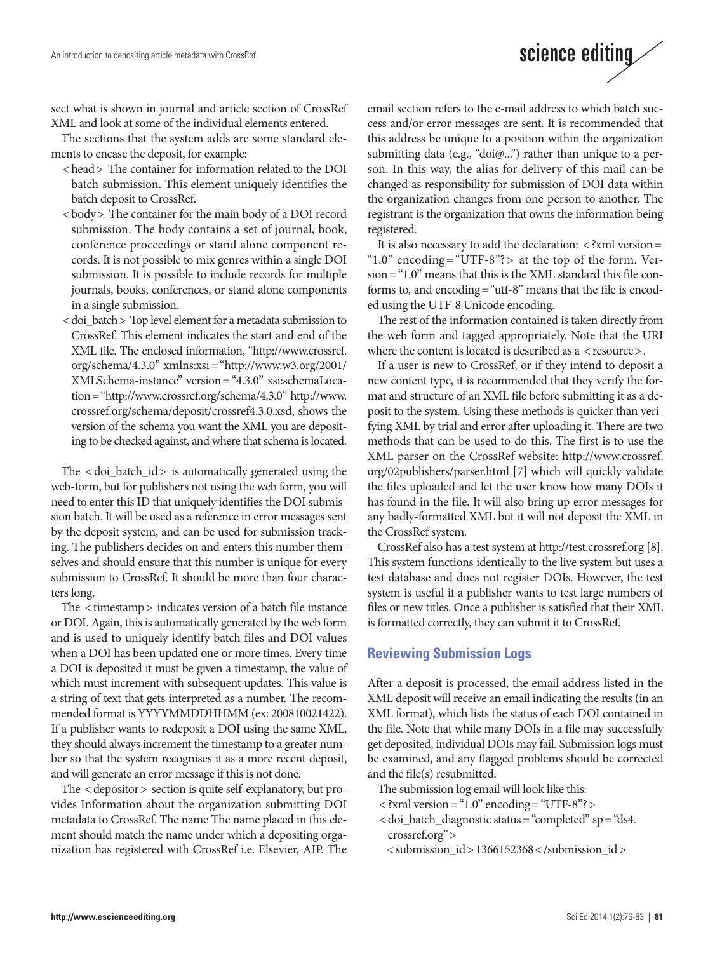sect what is shown in journal and article section of CrossRef XML and look at some of the individual elements entered.

The sections that the system adds are some standard elements to encase the deposit, for example:

- <head> The container for information related to the DOI batch submission. This element uniquely identifies the batch deposit to CrossRef.
- <body> The container for the main body of a DOI record submission. The body contains a set of journal, book, conference proceedings or stand alone component records. It is not possible to mix genres within a single DOI submission. It is possible to include records for multiple journals, books, conferences, or stand alone components in a single submission.
- < doi batch > Top level element for a metadata submission to CrossRef. This element indicates the start and end of the XML file. The enclosed information, "http://www.crossref. org/schema/4.3.0" xmlns:xsi="http://www.w3.org/2001/ XMLSchema-instance" version="4.3.0" xsi:schemaLocation="http://www.crossref.org/schema/4.3.0" http://www. crossref.org/schema/deposit/crossref4.3.0.xsd, shows the version of the schema you want the XML you are depositing to be checked against, and where that schema is located.

The < doi\_batch\_id> is automatically generated using the web-form, but for publishers not using the web form, you will need to enter this ID that uniquely identifies the DOI submission batch. It will be used as a reference in error messages sent by the deposit system, and can be used for submission tracking. The publishers decides on and enters this number themselves and should ensure that this number is unique for every submission to CrossRef. It should be more than four characters long.

The < timestamp> indicates version of a batch file instance or DOI. Again, this is automatically generated by the web form and is used to uniquely identify batch files and DOI values when a DOI has been updated one or more times. Every time a DOI is deposited it must be given a timestamp, the value of which must increment with subsequent updates. This value is a string of text that gets interpreted as a number. The recommended format is YYYYMMDDHHMM (ex: 200810021422). If a publisher wants to redeposit a DOI using the same XML, they should always increment the timestamp to a greater number so that the system recognises it as a more recent deposit, and will generate an error message if this is not done.

The < depositor> section is quite self-explanatory, but provides Information about the organization submitting DOI metadata to CrossRef. The name The name placed in this element should match the name under which a depositing organization has registered with CrossRef i.e. Elsevier, AIP. The email section refers to the e-mail address to which batch success and/or error messages are sent. It is recommended that this address be unique to a position within the organization submitting data (e.g., "doi@...") rather than unique to a person. In this way, the alias for delivery of this mail can be changed as responsibility for submission of DOI data within the organization changes from one person to another. The registrant is the organization that owns the information being registered.

science editing

It is also necessary to add the declaration:  $\langle$  ?xml version = " $1.0$ " encoding = "UTF-8"? > at the top of the form. Version= "1.0" means that this is the XML standard this file conforms to, and encoding= "utf-8" means that the file is encoded using the UTF-8 Unicode encoding.

The rest of the information contained is taken directly from the web form and tagged appropriately. Note that the URI where the content is located is described as a < resource >.

If a user is new to CrossRef, or if they intend to deposit a new content type, it is recommended that they verify the format and structure of an XML file before submitting it as a deposit to the system. Using these methods is quicker than verifying XML by trial and error after uploading it. There are two methods that can be used to do this. The first is to use the XML parser on the CrossRef website: http://www.crossref. org/02publishers/parser.html [7] which will quickly validate the files uploaded and let the user know how many DOIs it has found in the file. It will also bring up error messages for any badly-formatted XML but it will not deposit the XML in the CrossRef system.

CrossRef also has a test system at http://test.crossref.org [8]. This system functions identically to the live system but uses a test database and does not register DOIs. However, the test system is useful if a publisher wants to test large numbers of files or new titles. Once a publisher is satisfied that their XML is formatted correctly, they can submit it to CrossRef.

#### **Reviewing Submission Logs**

After a deposit is processed, the email address listed in the XML deposit will receive an email indicating the results (in an XML format), which lists the status of each DOI contained in the file. Note that while many DOIs in a file may successfully get deposited, individual DOIs may fail. Submission logs must be examined, and any flagged problems should be corrected and the file(s) resubmitted.

- The submission log email will look like this:
- $\langle$  ?xml version = "1.0" encoding = "UTF-8"? >
- $\langle$  doi\_batch\_diagnostic status = "completed" sp = "ds4. crossref.org">
	- < submission\_id> 1366152368< /submission\_id>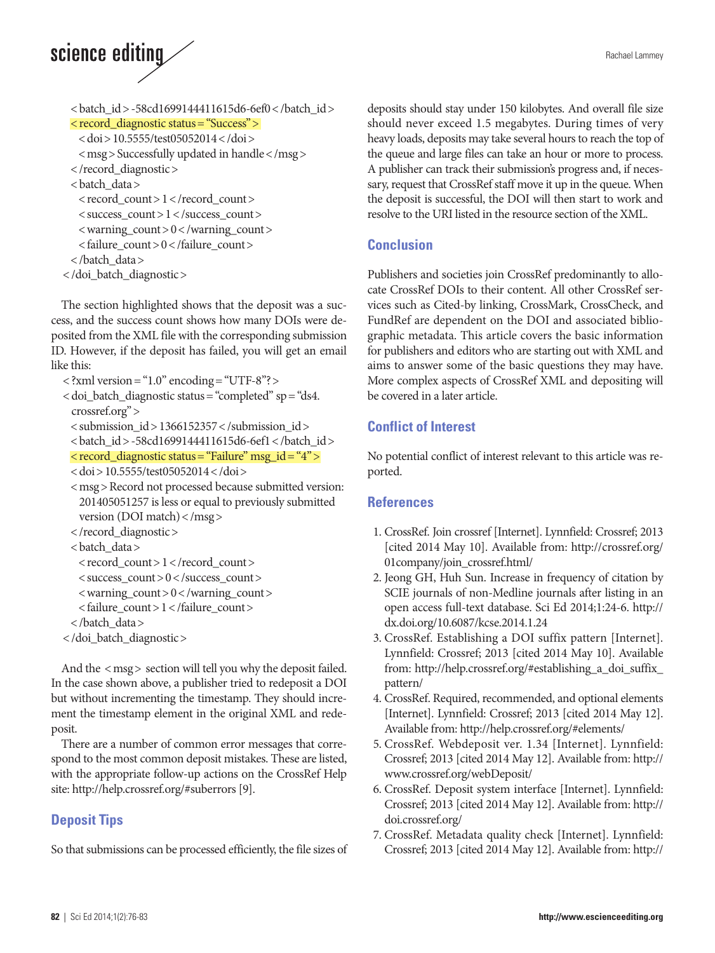# science editing

```
 < batch_id> -58cd1699144411615d6-6ef0< /batch_id>
  < record_diagnostic status= "Success">
    < doi> 10.5555/test05052014< /doi>
    < msg> Successfully updated in handle< /msg>
   < /record_diagnostic>
   < batch_data>
   \langle record_count > 1 \langle /record_count >
   \langle success_count > 1 \langle /success_count >
   \langle warning_count > 0 \langle /warning_count >
    < failure_count> 0< /failure_count>
   < /batch_data>
< /doi_batch_diagnostic>
```
The section highlighted shows that the deposit was a success, and the success count shows how many DOIs were deposited from the XML file with the corresponding submission ID. However, if the deposit has failed, you will get an email like this:

```
\langle ?xml version = "1.0" encoding = "UTF-8"? >
```
- $\langle$  doi\_batch\_diagnostic status= "completed" sp = "ds4. crossref.org">
	- < submission\_id> 1366152357< /submission\_id>
	- <br />batch\_id> -58cd1699144411615d6-6ef1</batch\_id>

```
 < record_diagnostic status= "Failure" msg_id= "4">
```

```
 < doi> 10.5555/test05052014< /doi>
```
- <msg>Record not processed because submitted version: 201405051257 is less or equal to previously submitted version (DOI match)< /msg>
- < /record\_diagnostic>
- < batch\_data>
	- $\langle$  record\_count > 1  $\langle$  /record\_count >
- $\langle$  success\_count > 0 $\langle$  success\_count >
- $\langle$  warning\_count > 0  $\langle$  /warning\_count >
- < failure\_count> 1< /failure\_count>
- < /batch\_data>
- < /doi\_batch\_diagnostic>

And the < msg> section will tell you why the deposit failed. In the case shown above, a publisher tried to redeposit a DOI but without incrementing the timestamp. They should increment the timestamp element in the original XML and redeposit.

There are a number of common error messages that correspond to the most common deposit mistakes. These are listed, with the appropriate follow-up actions on the CrossRef Help site: http://help.crossref.org/#suberrors [9].

## **Deposit Tips**

So that submissions can be processed efficiently, the file sizes of

deposits should stay under 150 kilobytes. And overall file size should never exceed 1.5 megabytes. During times of very heavy loads, deposits may take several hours to reach the top of the queue and large files can take an hour or more to process. A publisher can track their submission's progress and, if necessary, request that CrossRef staff move it up in the queue. When the deposit is successful, the DOI will then start to work and resolve to the URI listed in the resource section of the XML.

### **Conclusion**

Publishers and societies join CrossRef predominantly to allocate CrossRef DOIs to their content. All other CrossRef services such as Cited-by linking, CrossMark, CrossCheck, and FundRef are dependent on the DOI and associated bibliographic metadata. This article covers the basic information for publishers and editors who are starting out with XML and aims to answer some of the basic questions they may have. More complex aspects of CrossRef XML and depositing will be covered in a later article.

### **Conflict of Interest**

No potential conflict of interest relevant to this article was reported.

### **References**

- 1. CrossRef. Join crossref [Internet]. Lynnfield: Crossref; 2013 [cited 2014 May 10]. Available from: [http://crossref.org/](http://crossref.org/
01company/join_crossref.html/) [01company/join\\_crossref.html/](http://crossref.org/
01company/join_crossref.html/)
- 2. Jeong GH, Huh Sun. Increase in frequency of citation by SCIE journals of non-Medline journals after listing in an open access full-text database. Sci Ed 2014;1:24-6. http:// dx.doi.org/10.6087/kcse.2014.1.24
- 3. CrossRef. Establishing a DOI suffix pattern [Internet]. Lynnfield: Crossref; 2013 [cited 2014 May 10]. Available from: http://help.crossref.org/#establishing\_a\_doi\_suffix\_ pattern/
- 4. CrossRef. Required, recommended, and optional elements [Internet]. Lynnfield: Crossref; 2013 [cited 2014 May 12]. Available from: http://help.crossref.org/#elements/
- 5. CrossRef. Webdeposit ver. 1.34 [Internet]. Lynnfield: Crossref; 2013 [cited 2014 May 12]. Available from: http:// www.crossref.org/webDeposit/
- 6. CrossRef. Deposit system interface [Internet]. Lynnfield: Crossref; 2013 [cited 2014 May 12]. Available from: http:// doi.crossref.org/
- 7. CrossRef. Metadata quality check [Internet]. Lynnfield: Crossref; 2013 [cited 2014 May 12]. Available from: http://